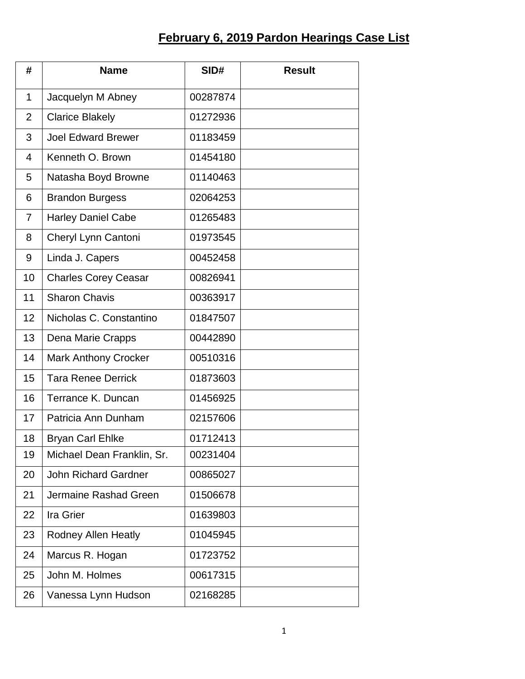## **February 6, 2019 Pardon Hearings Case List**

| #              | <b>Name</b>                 | SID#     | <b>Result</b> |
|----------------|-----------------------------|----------|---------------|
| $\mathbf{1}$   | Jacquelyn M Abney           | 00287874 |               |
| $\overline{2}$ | <b>Clarice Blakely</b>      | 01272936 |               |
| 3              | <b>Joel Edward Brewer</b>   | 01183459 |               |
| 4              | Kenneth O. Brown            | 01454180 |               |
| 5              | Natasha Boyd Browne         | 01140463 |               |
| 6              | <b>Brandon Burgess</b>      | 02064253 |               |
| $\overline{7}$ | Harley Daniel Cabe          | 01265483 |               |
| 8              | Cheryl Lynn Cantoni         | 01973545 |               |
| 9              | Linda J. Capers             | 00452458 |               |
| 10             | <b>Charles Corey Ceasar</b> | 00826941 |               |
| 11             | <b>Sharon Chavis</b>        | 00363917 |               |
| 12             | Nicholas C. Constantino     | 01847507 |               |
| 13             | Dena Marie Crapps           | 00442890 |               |
| 14             | <b>Mark Anthony Crocker</b> | 00510316 |               |
| 15             | <b>Tara Renee Derrick</b>   | 01873603 |               |
| 16             | Terrance K. Duncan          | 01456925 |               |
| 17             | Patricia Ann Dunham         | 02157606 |               |
| 18             | <b>Bryan Carl Ehlke</b>     | 01712413 |               |
| 19             | Michael Dean Franklin, Sr.  | 00231404 |               |
| 20             | <b>John Richard Gardner</b> | 00865027 |               |
| 21             | Jermaine Rashad Green       | 01506678 |               |
| 22             | Ira Grier                   | 01639803 |               |
| 23             | <b>Rodney Allen Heatly</b>  | 01045945 |               |
| 24             | Marcus R. Hogan             | 01723752 |               |
| 25             | John M. Holmes              | 00617315 |               |
| 26             | Vanessa Lynn Hudson         | 02168285 |               |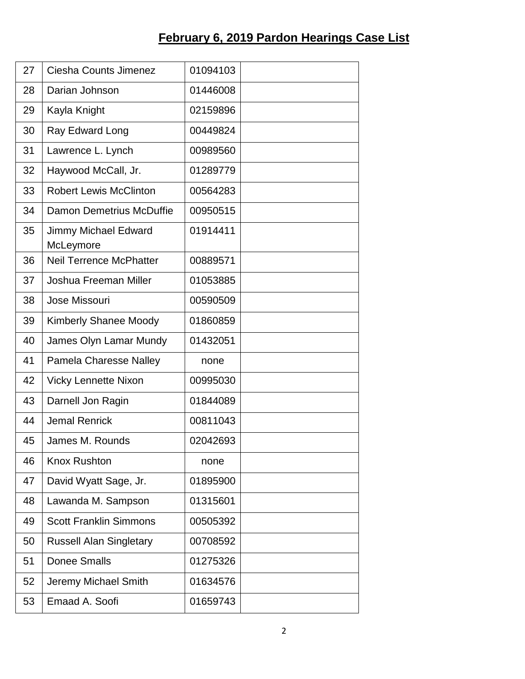## **February 6, 2019 Pardon Hearings Case List**

| 27 | Ciesha Counts Jimenez             | 01094103 |
|----|-----------------------------------|----------|
| 28 | Darian Johnson                    | 01446008 |
| 29 | Kayla Knight                      | 02159896 |
| 30 | Ray Edward Long                   | 00449824 |
| 31 | Lawrence L. Lynch                 | 00989560 |
| 32 | Haywood McCall, Jr.               | 01289779 |
| 33 | <b>Robert Lewis McClinton</b>     | 00564283 |
| 34 | Damon Demetrius McDuffie          | 00950515 |
| 35 | Jimmy Michael Edward<br>McLeymore | 01914411 |
| 36 | <b>Neil Terrence McPhatter</b>    | 00889571 |
| 37 | Joshua Freeman Miller             | 01053885 |
| 38 | Jose Missouri                     | 00590509 |
| 39 | <b>Kimberly Shanee Moody</b>      | 01860859 |
| 40 | James Olyn Lamar Mundy            | 01432051 |
| 41 | <b>Pamela Charesse Nalley</b>     | none     |
| 42 | <b>Vicky Lennette Nixon</b>       | 00995030 |
| 43 | Darnell Jon Ragin                 | 01844089 |
| 44 | <b>Jemal Renrick</b>              | 00811043 |
| 45 | James M. Rounds                   | 02042693 |
| 46 | <b>Knox Rushton</b>               | none     |
| 47 | David Wyatt Sage, Jr.             | 01895900 |
| 48 | Lawanda M. Sampson                | 01315601 |
| 49 | <b>Scott Franklin Simmons</b>     | 00505392 |
| 50 | <b>Russell Alan Singletary</b>    | 00708592 |
| 51 | <b>Donee Smalls</b>               | 01275326 |
| 52 | Jeremy Michael Smith              | 01634576 |
| 53 | Emaad A. Soofi                    | 01659743 |